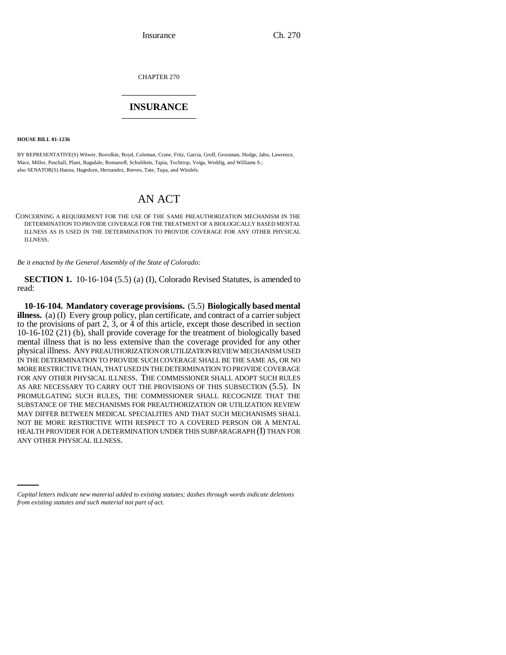Insurance Ch. 270

CHAPTER 270 \_\_\_\_\_\_\_\_\_\_\_\_\_\_\_

## **INSURANCE** \_\_\_\_\_\_\_\_\_\_\_\_\_\_\_

**HOUSE BILL 01-1236**

BY REPRESENTATIVE(S) Witwer, Borodkin, Boyd, Coleman, Crane, Fritz, Garcia, Groff, Grossman, Hodge, Jahn, Lawrence, Mace, Miller, Paschall, Plant, Ragsdale, Romanoff, Schultheis, Tapia, Tochtrop, Veiga, Weddig, and Williams S.; also SENATOR(S) Hanna, Hagedorn, Hernandez, Reeves, Tate, Tupa, and Windels.

## AN ACT

CONCERNING A REQUIREMENT FOR THE USE OF THE SAME PREAUTHORIZATION MECHANISM IN THE DETERMINATION TO PROVIDE COVERAGE FOR THE TREATMENT OF A BIOLOGICALLY BASED MENTAL ILLNESS AS IS USED IN THE DETERMINATION TO PROVIDE COVERAGE FOR ANY OTHER PHYSICAL ILLNESS.

*Be it enacted by the General Assembly of the State of Colorado:*

**SECTION 1.** 10-16-104 (5.5) (a) (I), Colorado Revised Statutes, is amended to read:

ANY OTHER PHYSICAL ILLNESS.**10-16-104. Mandatory coverage provisions.** (5.5) **Biologically based mental illness.** (a) (I) Every group policy, plan certificate, and contract of a carrier subject to the provisions of part 2, 3, or 4 of this article, except those described in section 10-16-102 (21) (b), shall provide coverage for the treatment of biologically based mental illness that is no less extensive than the coverage provided for any other physical illness. ANY PREAUTHORIZATION OR UTILIZATION REVIEW MECHANISM USED IN THE DETERMINATION TO PROVIDE SUCH COVERAGE SHALL BE THE SAME AS, OR NO MORE RESTRICTIVE THAN, THAT USED IN THE DETERMINATION TO PROVIDE COVERAGE FOR ANY OTHER PHYSICAL ILLNESS. THE COMMISSIONER SHALL ADOPT SUCH RULES AS ARE NECESSARY TO CARRY OUT THE PROVISIONS OF THIS SUBSECTION (5.5). IN PROMULGATING SUCH RULES, THE COMMISSIONER SHALL RECOGNIZE THAT THE SUBSTANCE OF THE MECHANISMS FOR PREAUTHORIZATION OR UTILIZATION REVIEW MAY DIFFER BETWEEN MEDICAL SPECIALITIES AND THAT SUCH MECHANISMS SHALL NOT BE MORE RESTRICTIVE WITH RESPECT TO A COVERED PERSON OR A MENTAL HEALTH PROVIDER FOR A DETERMINATION UNDER THIS SUBPARAGRAPH (I) THAN FOR

*Capital letters indicate new material added to existing statutes; dashes through words indicate deletions from existing statutes and such material not part of act.*